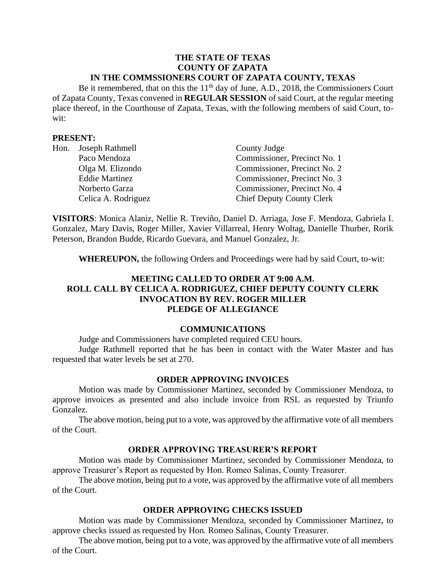#### **THE STATE OF TEXAS COUNTY OF ZAPATA IN THE COMMSSIONERS COURT OF ZAPATA COUNTY, TEXAS**

Be it remembered, that on this the  $11<sup>th</sup>$  day of June, A.D., 2018, the Commissioners Court of Zapata County, Texas convened in **REGULAR SESSION** of said Court, at the regular meeting place thereof, in the Courthouse of Zapata, Texas, with the following members of said Court, towit:

#### **PRESENT:**

| Hon. Joseph Rathmell  | County Judge                     |
|-----------------------|----------------------------------|
| Paco Mendoza          | Commissioner, Precinct No. 1     |
| Olga M. Elizondo      | Commissioner, Precinct No. 2     |
| <b>Eddie Martinez</b> | Commissioner, Precinct No. 3     |
| Norberto Garza        | Commissioner, Precinct No. 4     |
| Celica A. Rodriguez   | <b>Chief Deputy County Clerk</b> |

**VISITORS**: Monica Alaniz, Nellie R. Treviño, Daniel D. Arriaga, Jose F. Mendoza, Gabriela I. Gonzalez, Mary Davis, Roger Miller, Xavier Villarreal, Henry Woltag, Danielle Thurber, Rorik Peterson, Brandon Budde, Ricardo Guevara, and Manuel Gonzalez, Jr.

**WHEREUPON,** the following Orders and Proceedings were had by said Court, to-wit:

## **MEETING CALLED TO ORDER AT 9:00 A.M. ROLL CALL BY CELICA A. RODRIGUEZ, CHIEF DEPUTY COUNTY CLERK INVOCATION BY REV. ROGER MILLER PLEDGE OF ALLEGIANCE**

#### **COMMUNICATIONS**

Judge and Commissioners have completed required CEU hours.

Judge Rathmell reported that he has been in contact with the Water Master and has requested that water levels be set at 270.

#### **ORDER APPROVING INVOICES**

Motion was made by Commissioner Martinez, seconded by Commissioner Mendoza, to approve invoices as presented and also include invoice from RSL as requested by Triunfo Gonzalez.

The above motion, being put to a vote, was approved by the affirmative vote of all members of the Court.

#### **ORDER APPROVING TREASURER'S REPORT**

Motion was made by Commissioner Martinez, seconded by Commissioner Mendoza, to approve Treasurer's Report as requested by Hon. Romeo Salinas, County Treasurer.

The above motion, being put to a vote, was approved by the affirmative vote of all members of the Court.

## **ORDER APPROVING CHECKS ISSUED**

Motion was made by Commissioner Mendoza, seconded by Commissioner Martinez, to approve checks issued as requested by Hon. Romeo Salinas, County Treasurer.

The above motion, being put to a vote, was approved by the affirmative vote of all members of the Court.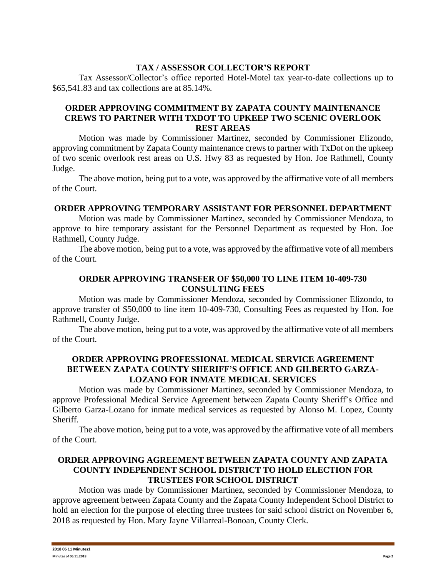## **TAX / ASSESSOR COLLECTOR'S REPORT**

Tax Assessor/Collector's office reported Hotel-Motel tax year-to-date collections up to \$65,541.83 and tax collections are at 85.14%.

## **ORDER APPROVING COMMITMENT BY ZAPATA COUNTY MAINTENANCE CREWS TO PARTNER WITH TXDOT TO UPKEEP TWO SCENIC OVERLOOK REST AREAS**

Motion was made by Commissioner Martinez, seconded by Commissioner Elizondo, approving commitment by Zapata County maintenance crews to partner with TxDot on the upkeep of two scenic overlook rest areas on U.S. Hwy 83 as requested by Hon. Joe Rathmell, County Judge.

The above motion, being put to a vote, was approved by the affirmative vote of all members of the Court.

#### **ORDER APPROVING TEMPORARY ASSISTANT FOR PERSONNEL DEPARTMENT**

Motion was made by Commissioner Martinez, seconded by Commissioner Mendoza, to approve to hire temporary assistant for the Personnel Department as requested by Hon. Joe Rathmell, County Judge.

The above motion, being put to a vote, was approved by the affirmative vote of all members of the Court.

## **ORDER APPROVING TRANSFER OF \$50,000 TO LINE ITEM 10-409-730 CONSULTING FEES**

Motion was made by Commissioner Mendoza, seconded by Commissioner Elizondo, to approve transfer of \$50,000 to line item 10-409-730, Consulting Fees as requested by Hon. Joe Rathmell, County Judge.

The above motion, being put to a vote, was approved by the affirmative vote of all members of the Court.

# **ORDER APPROVING PROFESSIONAL MEDICAL SERVICE AGREEMENT BETWEEN ZAPATA COUNTY SHERIFF'S OFFICE AND GILBERTO GARZA-LOZANO FOR INMATE MEDICAL SERVICES**

Motion was made by Commissioner Martinez, seconded by Commissioner Mendoza, to approve Professional Medical Service Agreement between Zapata County Sheriff's Office and Gilberto Garza-Lozano for inmate medical services as requested by Alonso M. Lopez, County Sheriff.

The above motion, being put to a vote, was approved by the affirmative vote of all members of the Court.

### **ORDER APPROVING AGREEMENT BETWEEN ZAPATA COUNTY AND ZAPATA COUNTY INDEPENDENT SCHOOL DISTRICT TO HOLD ELECTION FOR TRUSTEES FOR SCHOOL DISTRICT**

Motion was made by Commissioner Martinez, seconded by Commissioner Mendoza, to approve agreement between Zapata County and the Zapata County Independent School District to hold an election for the purpose of electing three trustees for said school district on November 6, 2018 as requested by Hon. Mary Jayne Villarreal-Bonoan, County Clerk.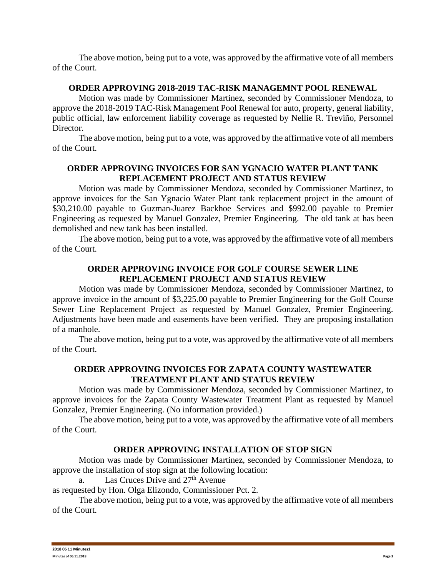The above motion, being put to a vote, was approved by the affirmative vote of all members of the Court.

#### **ORDER APPROVING 2018-2019 TAC-RISK MANAGEMNT POOL RENEWAL**

Motion was made by Commissioner Martinez, seconded by Commissioner Mendoza, to approve the 2018-2019 TAC-Risk Management Pool Renewal for auto, property, general liability, public official, law enforcement liability coverage as requested by Nellie R. Treviño, Personnel Director.

The above motion, being put to a vote, was approved by the affirmative vote of all members of the Court.

## **ORDER APPROVING INVOICES FOR SAN YGNACIO WATER PLANT TANK REPLACEMENT PROJECT AND STATUS REVIEW**

Motion was made by Commissioner Mendoza, seconded by Commissioner Martinez, to approve invoices for the San Ygnacio Water Plant tank replacement project in the amount of \$30,210.00 payable to Guzman-Juarez Backhoe Services and \$992.00 payable to Premier Engineering as requested by Manuel Gonzalez, Premier Engineering. The old tank at has been demolished and new tank has been installed.

The above motion, being put to a vote, was approved by the affirmative vote of all members of the Court.

# **ORDER APPROVING INVOICE FOR GOLF COURSE SEWER LINE REPLACEMENT PROJECT AND STATUS REVIEW**

Motion was made by Commissioner Mendoza, seconded by Commissioner Martinez, to approve invoice in the amount of \$3,225.00 payable to Premier Engineering for the Golf Course Sewer Line Replacement Project as requested by Manuel Gonzalez, Premier Engineering. Adjustments have been made and easements have been verified. They are proposing installation of a manhole.

The above motion, being put to a vote, was approved by the affirmative vote of all members of the Court.

# **ORDER APPROVING INVOICES FOR ZAPATA COUNTY WASTEWATER TREATMENT PLANT AND STATUS REVIEW**

Motion was made by Commissioner Mendoza, seconded by Commissioner Martinez, to approve invoices for the Zapata County Wastewater Treatment Plant as requested by Manuel Gonzalez, Premier Engineering. (No information provided.)

The above motion, being put to a vote, was approved by the affirmative vote of all members of the Court.

# **ORDER APPROVING INSTALLATION OF STOP SIGN**

Motion was made by Commissioner Martinez, seconded by Commissioner Mendoza, to approve the installation of stop sign at the following location:

a. Las Cruces Drive and 27<sup>th</sup> Avenue

as requested by Hon. Olga Elizondo, Commissioner Pct. 2.

The above motion, being put to a vote, was approved by the affirmative vote of all members of the Court.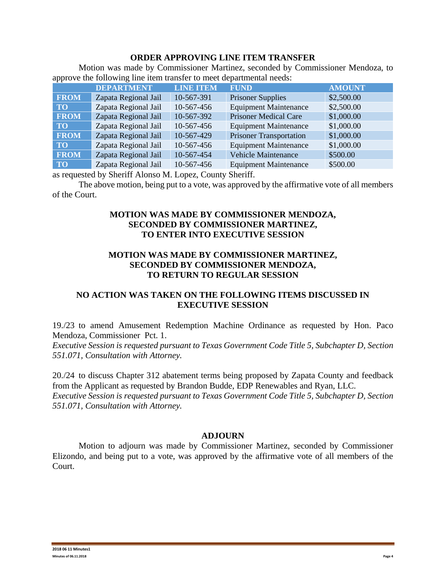#### **ORDER APPROVING LINE ITEM TRANSFER**

Motion was made by Commissioner Martinez, seconded by Commissioner Mendoza, to approve the following line item transfer to meet departmental needs:

|             | <b>DEPARTMENT</b>    | <b>LINE ITEM</b> | <b>FUND</b>                    | <b>AMOUNT</b> |
|-------------|----------------------|------------------|--------------------------------|---------------|
| <b>FROM</b> | Zapata Regional Jail | 10-567-391       | <b>Prisoner Supplies</b>       | \$2,500.00    |
| <b>TO</b>   | Zapata Regional Jail | 10-567-456       | <b>Equipment Maintenance</b>   | \$2,500.00    |
| <b>FROM</b> | Zapata Regional Jail | 10-567-392       | <b>Prisoner Medical Care</b>   | \$1,000.00    |
| <b>TO</b>   | Zapata Regional Jail | 10-567-456       | <b>Equipment Maintenance</b>   | \$1,000.00    |
| <b>FROM</b> | Zapata Regional Jail | 10-567-429       | <b>Prisoner Transportation</b> | \$1,000.00    |
| <b>TO</b>   | Zapata Regional Jail | 10-567-456       | <b>Equipment Maintenance</b>   | \$1,000.00    |
| <b>FROM</b> | Zapata Regional Jail | 10-567-454       | <b>Vehicle Maintenance</b>     | \$500.00      |
| <b>TO</b>   | Zapata Regional Jail | 10-567-456       | <b>Equipment Maintenance</b>   | \$500.00      |

as requested by Sheriff Alonso M. Lopez, County Sheriff.

The above motion, being put to a vote, was approved by the affirmative vote of all members of the Court.

## **MOTION WAS MADE BY COMMISSIONER MENDOZA, SECONDED BY COMMISSIONER MARTINEZ, TO ENTER INTO EXECUTIVE SESSION**

## **MOTION WAS MADE BY COMMISSIONER MARTINEZ, SECONDED BY COMMISSIONER MENDOZA, TO RETURN TO REGULAR SESSION**

# **NO ACTION WAS TAKEN ON THE FOLLOWING ITEMS DISCUSSED IN EXECUTIVE SESSION**

19./23 to amend Amusement Redemption Machine Ordinance as requested by Hon. Paco Mendoza, Commissioner Pct. 1.

*Executive Session is requested pursuant to Texas Government Code Title 5, Subchapter D, Section 551.071, Consultation with Attorney.*

20./24 to discuss Chapter 312 abatement terms being proposed by Zapata County and feedback from the Applicant as requested by Brandon Budde, EDP Renewables and Ryan, LLC. *Executive Session is requested pursuant to Texas Government Code Title 5, Subchapter D, Section 551.071, Consultation with Attorney.*

#### **ADJOURN**

Motion to adjourn was made by Commissioner Martinez, seconded by Commissioner Elizondo, and being put to a vote, was approved by the affirmative vote of all members of the Court.